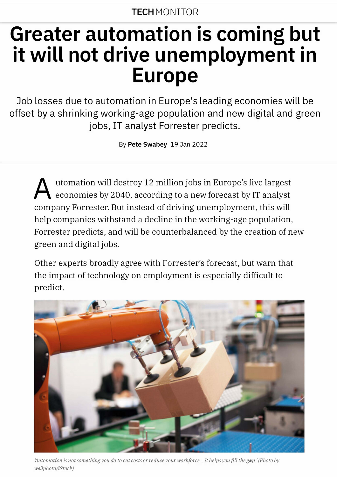# **Greater automation is coming but it will not drive unemployment in Europe**

Job losses due to automation in Europe's leading economies will be offset by a shrinking working-age population and new digital and green jobs, IT analyst Forrester predicts.

By **Pete Swabey** 19 **Jan** 2022

A utomation will destroy 12 million jobs in Europe's five largest economies by 2040, according to a new forecast by IT analyst company Forrester. But instead of driving unemployment, this will help companies withstand a decline in the working-age population, Forrester predicts, and will be counterbalanced by the creation of new green and digital jobs.

Other experts broadly agree with Forrester's forecast, but warn that the impact of technology on employment is especially difficult to predict.



*'Automation is not something you do to cut costs or reduce your workforce ... It helps you fill the gap.' (Photo by wellphoto/iStock)*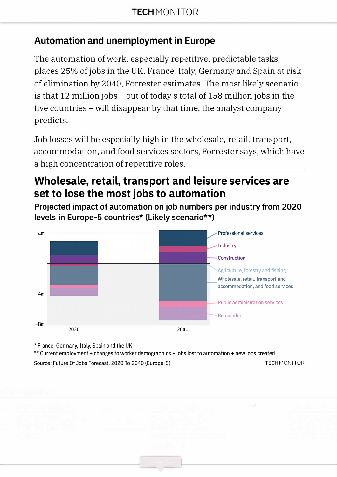# **Automation and unemployment in Europe**

The automation of work, especially repetitive, predictable tasks, places 25% of jobs in the UK, France, Italy, Germany and Spain at risk of elimination by 2040, Forrester estimates. The most likely scenario is that 12 million jobs - out of today's total of 158 million jobs in the five countries – will disappear by that time, the analyst company predicts.

Job losses will be especially high in the wholesale, retail, transport, accommodation, and food services sectors, Forrester says, which have a high concentration of repetitive roles.

# **Wholesale, retail, transport and leisure services are set to lose the most jobs to automation**

**Projected impact of automation on job numbers per industry from 2020 levels in Europe-5 countries\* (Likely scenario\*\*)** 



\* France, Germany, Italy, Spain and the UK

\*\* Current employment + changes to worker demographics + jobs lost to automation + new jobs created Source: Future Of Jobs Forecast, 2020 To 2040 (Europe-5) TECH MONITOR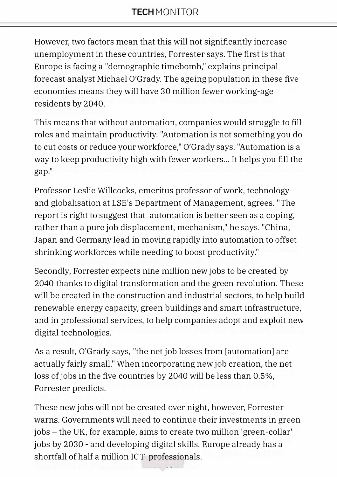However, two factors mean that this will not significantly increase unemployment in these countries, Forrester says. The first is that Europe is facing a "demographic timebomb," explains principal forecast analyst Michael O'Grady. The ageing population in these five economies means they will have 30 million fewer working-age residents by 2040.

This means that without automation, companies would struggle to fill roles and maintain productivity. "Automation is not something you do to cut costs or reduce your workforce," O'Grady says. "Automation is a way to keep productivity high with fewer workers... It helps you fill the gap."

Professor Leslie Willcocks, emeritus professor of work, technology and globalisation at LSE's Department of Management, agrees. "The report is right to suggest that automation is better seen as a coping, rather than a pure job displacement, mechanism," he says. "China, Japan and Germany lead in moving rapidly into automation to offset shrinking workforces while needing to boost productivity."

Secondly, Forrester expects nine million new jobs to be created by 2040 thanks to digital transformation and the green revolution. These will be created in the construction and industrial sectors, to help build renewable energy capacity, green buildings and smart infrastructure, and in professional services, to help companies adopt and exploit new digital technologies.

As a result, O'Grady says, "the net job losses from [automation] are actually fairly small." When incorporating new job creation, the net loss of jobs in the five countries by 2040 will be less than 0.5%, Forrester predicts.

These new jobs will not be created over night, however, Forrester warns. Governments will need to continue their investments in green jobs - the UK, for example, aims to create two million 'green-collar' jobs by 2030 - and developing digital skills. Europe already has a shortfall of half a million ICT professionals.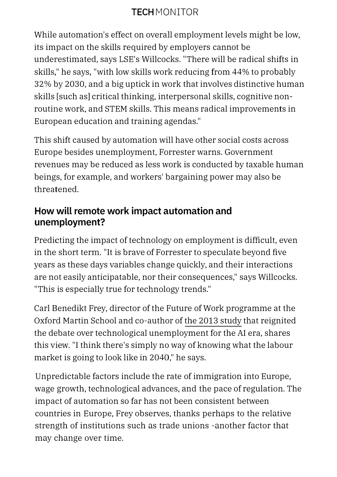# **TECH** MONITOR

While automation's effect on overall employment levels might be low, its impact on the skills required by employers cannot be underestimated, says LSE's Willcocks. "There will be radical shifts in skills," he says, "with low skills work reducing from 44% to probably 32% by 2030, and a big uptick in work that involves distinctive human skills [such as] critical thinking, interpersonal skills, cognitive nonroutine work, and STEM skills. This means radical improvements in European education and training agendas."

This shift caused by automation will have other social costs across Europe besides unemployment, Forrester warns. Government revenues may be reduced as less work is conducted by taxable human beings, for example, and workers' bargaining power may also be threatened.

#### **How will remote work impact automation and unemployment?**

Predicting the impact of technology on employment is difficult, even in the short term. "It is brave of Forrester to speculate beyond five years as these days variables change quickly, and their interactions are not easily anticipatable, nor their consequences," says Willcocks. "This is especially true for technology trends."

Carl Benedikt Frey, director of the Future of Work programme at the Oxford Martin School and co-author of the 2013 study that reignited the debate over technological unemployment for the AI era, shares this view. "I think there's simply no way of knowing what the labour market is going to look like in 2040," he says.

Unpredictable factors include the rate of immigration into Europe, wage growth, technological advances, and the pace of regulation. The impact of automation so far has not been consistent between countries in Europe, Frey observes, thanks perhaps to the relative strength of institutions such as trade unions -another factor that may change over time.